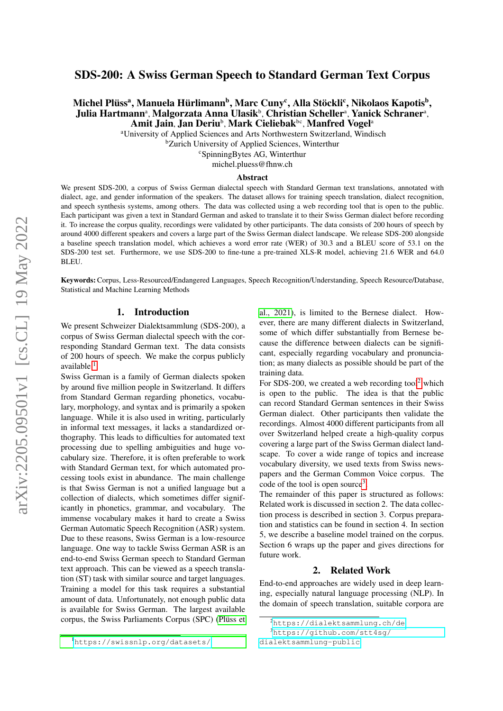# SDS-200: A Swiss German Speech to Standard German Text Corpus

# Michel Plüssª, Manuela Hürlimannʰ, Marc Cunyˁ, Alla Stöckliˁ, Nikolaos Kapotisʰ, Julia Hartmannª, Malgorzata Anna Ulasikʰ, Christian Schellerª, Yanick Schranerª, Amit Jain, Jan Deriub, Mark Cieliebak<sup>bc</sup>, Manfred Vogel<sup>a</sup>

<sup>a</sup>University of Applied Sciences and Arts Northwestern Switzerland, Windisch

<sup>b</sup>Zurich University of Applied Sciences, Winterthur

<sup>c</sup>SpinningBytes AG, Winterthur

michel.pluess@fhnw.ch

#### Abstract

We present SDS-200, a corpus of Swiss German dialectal speech with Standard German text translations, annotated with dialect, age, and gender information of the speakers. The dataset allows for training speech translation, dialect recognition, and speech synthesis systems, among others. The data was collected using a web recording tool that is open to the public. Each participant was given a text in Standard German and asked to translate it to their Swiss German dialect before recording it. To increase the corpus quality, recordings were validated by other participants. The data consists of 200 hours of speech by around 4000 different speakers and covers a large part of the Swiss German dialect landscape. We release SDS-200 alongside a baseline speech translation model, which achieves a word error rate (WER) of 30.3 and a BLEU score of 53.1 on the SDS-200 test set. Furthermore, we use SDS-200 to fine-tune a pre-trained XLS-R model, achieving 21.6 WER and 64.0 BLEU.

Keywords:Corpus, Less-Resourced/Endangered Languages, Speech Recognition/Understanding, Speech Resource/Database, Statistical and Machine Learning Methods

# 1. Introduction

We present Schweizer Dialektsammlung (SDS-200), a corpus of Swiss German dialectal speech with the corresponding Standard German text. The data consists of 200 hours of speech. We make the corpus publicly available <sup>[1](#page-0-0)</sup>.

Swiss German is a family of German dialects spoken by around five million people in Switzerland. It differs from Standard German regarding phonetics, vocabulary, morphology, and syntax and is primarily a spoken language. While it is also used in writing, particularly in informal text messages, it lacks a standardized orthography. This leads to difficulties for automated text processing due to spelling ambiguities and huge vocabulary size. Therefore, it is often preferable to work with Standard German text, for which automated processing tools exist in abundance. The main challenge is that Swiss German is not a unified language but a collection of dialects, which sometimes differ significantly in phonetics, grammar, and vocabulary. The immense vocabulary makes it hard to create a Swiss German Automatic Speech Recognition (ASR) system. Due to these reasons, Swiss German is a low-resource language. One way to tackle Swiss German ASR is an end-to-end Swiss German speech to Standard German text approach. This can be viewed as a speech translation (ST) task with similar source and target languages. Training a model for this task requires a substantial amount of data. Unfortunately, not enough public data is available for Swiss German. The largest available corpus, the Swiss Parliaments Corpus (SPC) (Plüss et [al., 2021\)](#page-6-0), is limited to the Bernese dialect. However, there are many different dialects in Switzerland, some of which differ substantially from Bernese because the difference between dialects can be significant, especially regarding vocabulary and pronunciation; as many dialects as possible should be part of the training data.

For SDS-[2](#page-0-1)00, we created a web recording tool<sup>2</sup> which is open to the public. The idea is that the public can record Standard German sentences in their Swiss German dialect. Other participants then validate the recordings. Almost 4000 different participants from all over Switzerland helped create a high-quality corpus covering a large part of the Swiss German dialect landscape. To cover a wide range of topics and increase vocabulary diversity, we used texts from Swiss newspapers and the German Common Voice corpus. The code of the tool is open source<sup>[3](#page-0-2)</sup>.

The remainder of this paper is structured as follows: Related work is discussed in section 2. The data collection process is described in section 3. Corpus preparation and statistics can be found in section 4. In section 5, we describe a baseline model trained on the corpus. Section 6 wraps up the paper and gives directions for future work.

### 2. Related Work

End-to-end approaches are widely used in deep learning, especially natural language processing (NLP). In the domain of speech translation, suitable corpora are

<span id="page-0-1"></span><sup>2</sup><https://dialektsammlung.ch/de>

<span id="page-0-2"></span><sup>3</sup>[https://github.com/stt4sg/](https://github.com/stt4sg/dialektsammlung-public)

[dialektsammlung-public](https://github.com/stt4sg/dialektsammlung-public)

<span id="page-0-0"></span><sup>1</sup>[https://swissnlp.org/datasets/](#page-6-0)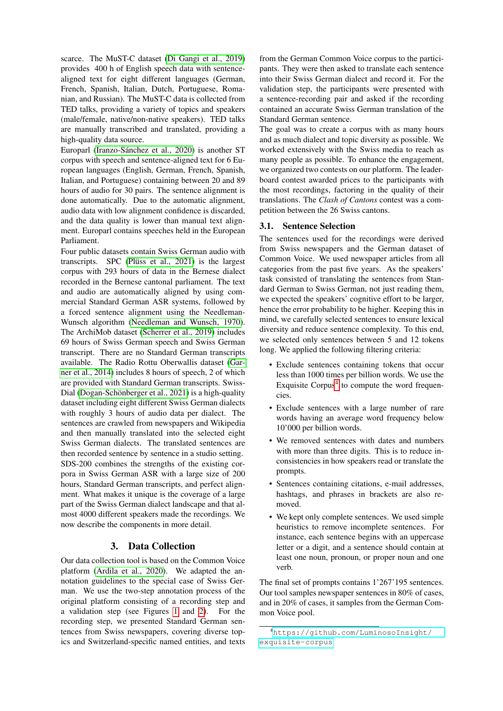scarce. The MuST-C dataset [\(Di Gangi et al., 2019\)](#page-5-0) provides 400 h of English speech data with sentencealigned text for eight different languages (German, French, Spanish, Italian, Dutch, Portuguese, Romanian, and Russian). The MuST-C data is collected from TED talks, providing a variety of topics and speakers (male/female, native/non-native speakers). TED talks are manually transcribed and translated, providing a high-quality data source.

Europarl (Iranzo-Sánchez et al., 2020) is another ST corpus with speech and sentence-aligned text for 6 European languages (English, German, French, Spanish, Italian, and Portuguese) containing between 20 and 89 hours of audio for 30 pairs. The sentence alignment is done automatically. Due to the automatic alignment, audio data with low alignment confidence is discarded, and the data quality is lower than manual text alignment. Europarl contains speeches held in the European Parliament.

Four public datasets contain Swiss German audio with transcripts. SPC (Plüss et al.,  $2021$ ) is the largest corpus with 293 hours of data in the Bernese dialect recorded in the Bernese cantonal parliament. The text and audio are automatically aligned by using commercial Standard German ASR systems, followed by a forced sentence alignment using the Needleman-Wunsch algorithm [\(Needleman and Wunsch, 1970\)](#page-5-2). The ArchiMob dataset [\(Scherrer et al., 2019\)](#page-6-1) includes 69 hours of Swiss German speech and Swiss German transcript. There are no Standard German transcripts available. The Radio Rottu Oberwallis dataset [\(Gar](#page-5-3)[ner et al., 2014\)](#page-5-3) includes 8 hours of speech, 2 of which are provided with Standard German transcripts. Swiss-Dial (Dogan-Schönberger et al., 2021) is a high-quality dataset including eight different Swiss German dialects with roughly 3 hours of audio data per dialect. The sentences are crawled from newspapers and Wikipedia and then manually translated into the selected eight Swiss German dialects. The translated sentences are then recorded sentence by sentence in a studio setting. SDS-200 combines the strengths of the existing corpora in Swiss German ASR with a large size of 200 hours, Standard German transcripts, and perfect alignment. What makes it unique is the coverage of a large part of the Swiss German dialect landscape and that almost 4000 different speakers made the recordings. We now describe the components in more detail.

# 3. Data Collection

Our data collection tool is based on the Common Voice platform [\(Ardila et al., 2020\)](#page-5-5). We adapted the annotation guidelines to the special case of Swiss German. We use the two-step annotation process of the original platform consisting of a recording step and a validation step (see Figures [1](#page-2-0) and [2\)](#page-2-1). For the recording step, we presented Standard German sentences from Swiss newspapers, covering diverse topics and Switzerland-specific named entities, and texts

from the German Common Voice corpus to the participants. They were then asked to translate each sentence into their Swiss German dialect and record it. For the validation step, the participants were presented with a sentence-recording pair and asked if the recording contained an accurate Swiss German translation of the Standard German sentence.

The goal was to create a corpus with as many hours and as much dialect and topic diversity as possible. We worked extensively with the Swiss media to reach as many people as possible. To enhance the engagement, we organized two contests on our platform. The leaderboard contest awarded prices to the participants with the most recordings, factoring in the quality of their translations. The *Clash of Cantons* contest was a competition between the 26 Swiss cantons.

### 3.1. Sentence Selection

The sentences used for the recordings were derived from Swiss newspapers and the German dataset of Common Voice. We used newspaper articles from all categories from the past five years. As the speakers' task consisted of translating the sentences from Standard German to Swiss German, not just reading them, we expected the speakers' cognitive effort to be larger, hence the error probability to be higher. Keeping this in mind, we carefully selected sentences to ensure lexical diversity and reduce sentence complexity. To this end, we selected only sentences between 5 and 12 tokens long. We applied the following filtering criteria:

- Exclude sentences containing tokens that occur less than 1000 times per billion words. We use the Exquisite Corpus $4$  to compute the word frequencies.
- Exclude sentences with a large number of rare words having an average word frequency below 10'000 per billion words.
- We removed sentences with dates and numbers with more than three digits. This is to reduce inconsistencies in how speakers read or translate the prompts.
- Sentences containing citations, e-mail addresses, hashtags, and phrases in brackets are also removed.
- We kept only complete sentences. We used simple heuristics to remove incomplete sentences. For instance, each sentence begins with an uppercase letter or a digit, and a sentence should contain at least one noun, pronoun, or proper noun and one verb.

The final set of prompts contains 1'267'195 sentences. Our tool samples newspaper sentences in 80% of cases, and in 20% of cases, it samples from the German Common Voice pool.

<span id="page-1-0"></span><sup>4</sup>[https://github.com/LuminosoInsight/](https://github.com/LuminosoInsight/exquisite-corpus) [exquisite-corpus](https://github.com/LuminosoInsight/exquisite-corpus)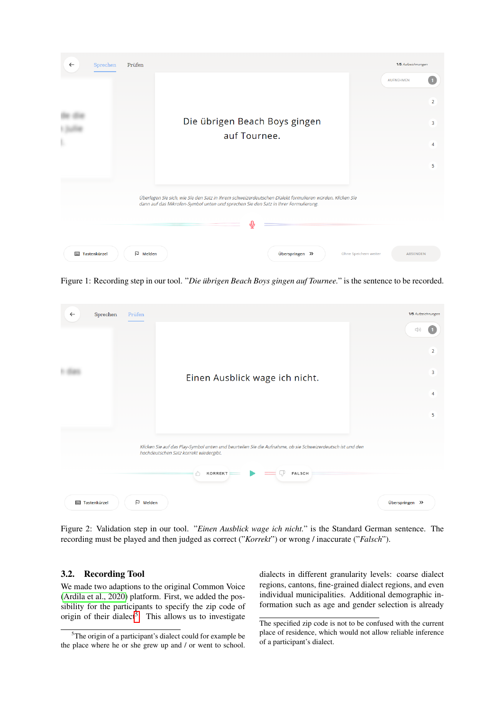| $\leftarrow$ | Sprechen                      | Prüfen        |                                                                                                                                                                                                 |   |                 |                       |                  | 1/5 Aufzeichnungen |  |
|--------------|-------------------------------|---------------|-------------------------------------------------------------------------------------------------------------------------------------------------------------------------------------------------|---|-----------------|-----------------------|------------------|--------------------|--|
|              |                               |               |                                                                                                                                                                                                 |   |                 |                       | <b>AUFNEHMEN</b> | $\overline{2}$     |  |
| $\mathbb{C}$ | Die übrigen Beach Boys gingen |               |                                                                                                                                                                                                 |   |                 |                       |                  | 3                  |  |
|              |                               | auf Tournee.  |                                                                                                                                                                                                 |   |                 |                       |                  |                    |  |
|              |                               |               |                                                                                                                                                                                                 |   |                 |                       |                  | 4                  |  |
|              |                               |               |                                                                                                                                                                                                 |   |                 |                       |                  | 5                  |  |
|              |                               |               | Überlegen Sie sich, wie Sie den Satz in Ihrem schweizerdeutschen Dialekt formulieren würden. Klicken Sie<br>dann auf das Mikrofon-Symbol unten und sprechen Sie den Satz in Ihrer Formulierung. |   |                 |                       |                  |                    |  |
|              |                               |               |                                                                                                                                                                                                 | ⊕ |                 |                       |                  |                    |  |
|              | <b>E Tastenkürzel</b>         | $\Box$ Melden |                                                                                                                                                                                                 |   | Überspringen >> | Ohne Speichern weiter | <b>ABSENDEN</b>  |                    |  |

<span id="page-2-0"></span>Figure 1: Recording step in our tool. "Die übrigen Beach Boys gingen auf Tournee." is the sentence to be recorded.



Figure 2: Validation step in our tool. "*Einen Ausblick wage ich nicht.*" is the Standard German sentence. The recording must be played and then judged as correct ("*Korrekt*") or wrong / inaccurate ("*Falsch*").

# <span id="page-2-1"></span>3.2. Recording Tool

We made two adaptions to the original Common Voice [\(Ardila et al., 2020\)](#page-5-5) platform. First, we added the possibility for the participants to specify the zip code of origin of their dialect<sup>[5](#page-2-2)</sup>. This allows us to investigate

dialects in different granularity levels: coarse dialect regions, cantons, fine-grained dialect regions, and even individual municipalities. Additional demographic information such as age and gender selection is already

<span id="page-2-2"></span><sup>&</sup>lt;sup>5</sup>The origin of a participant's dialect could for example be the place where he or she grew up and / or went to school.

The specified zip code is not to be confused with the current place of residence, which would not allow reliable inference of a participant's dialect.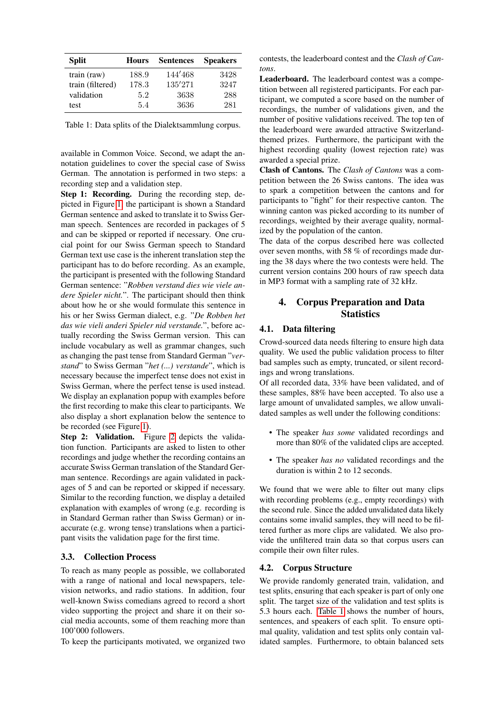| <b>Split</b>     | <b>Hours</b> | <b>Sentences</b> | <b>Speakers</b> |
|------------------|--------------|------------------|-----------------|
| $train$ (raw)    | 188.9        | 144'468          | 3428            |
| train (filtered) | 178.3        | 135'271          | 3247            |
| validation       | 5.2          | 3638             | 288             |
| test             | 54           | 3636             | 281             |

<span id="page-3-0"></span>Table 1: Data splits of the Dialektsammlung corpus.

available in Common Voice. Second, we adapt the annotation guidelines to cover the special case of Swiss German. The annotation is performed in two steps: a recording step and a validation step.

Step 1: Recording. During the recording step, depicted in Figure [1,](#page-2-0) the participant is shown a Standard German sentence and asked to translate it to Swiss German speech. Sentences are recorded in packages of 5 and can be skipped or reported if necessary. One crucial point for our Swiss German speech to Standard German text use case is the inherent translation step the participant has to do before recording. As an example, the participant is presented with the following Standard German sentence: "*Robben verstand dies wie viele andere Spieler nicht.*". The participant should then think about how he or she would formulate this sentence in his or her Swiss German dialect, e.g. "*De Robben het das wie vieli anderi Spieler nid verstande.*", before actually recording the Swiss German version. This can include vocabulary as well as grammar changes, such as changing the past tense from Standard German "*verstand*" to Swiss German "*het (...) verstande*", which is necessary because the imperfect tense does not exist in Swiss German, where the perfect tense is used instead. We display an explanation popup with examples before the first recording to make this clear to participants. We also display a short explanation below the sentence to be recorded (see Figure [1\)](#page-2-0).

Step [2](#page-2-1): Validation. Figure 2 depicts the validation function. Participants are asked to listen to other recordings and judge whether the recording contains an accurate Swiss German translation of the Standard German sentence. Recordings are again validated in packages of 5 and can be reported or skipped if necessary. Similar to the recording function, we display a detailed explanation with examples of wrong (e.g. recording is in Standard German rather than Swiss German) or inaccurate (e.g. wrong tense) translations when a participant visits the validation page for the first time.

#### 3.3. Collection Process

To reach as many people as possible, we collaborated with a range of national and local newspapers, television networks, and radio stations. In addition, four well-known Swiss comedians agreed to record a short video supporting the project and share it on their social media accounts, some of them reaching more than 100'000 followers.

To keep the participants motivated, we organized two

contests, the leaderboard contest and the *Clash of Cantons*.

Leaderboard. The leaderboard contest was a competition between all registered participants. For each participant, we computed a score based on the number of recordings, the number of validations given, and the number of positive validations received. The top ten of the leaderboard were awarded attractive Switzerlandthemed prizes. Furthermore, the participant with the highest recording quality (lowest rejection rate) was awarded a special prize.

Clash of Cantons. The *Clash of Cantons* was a competition between the 26 Swiss cantons. The idea was to spark a competition between the cantons and for participants to "fight" for their respective canton. The winning canton was picked according to its number of recordings, weighted by their average quality, normalized by the population of the canton.

The data of the corpus described here was collected over seven months, with 58 % of recordings made during the 38 days where the two contests were held. The current version contains 200 hours of raw speech data in MP3 format with a sampling rate of 32 kHz.

# 4. Corpus Preparation and Data **Statistics**

# 4.1. Data filtering

Crowd-sourced data needs filtering to ensure high data quality. We used the public validation process to filter bad samples such as empty, truncated, or silent recordings and wrong translations.

Of all recorded data, 33% have been validated, and of these samples, 88% have been accepted. To also use a large amount of unvalidated samples, we allow unvalidated samples as well under the following conditions:

- The speaker *has some* validated recordings and more than 80% of the validated clips are accepted.
- The speaker *has no* validated recordings and the duration is within 2 to 12 seconds.

We found that we were able to filter out many clips with recording problems (e.g., empty recordings) with the second rule. Since the added unvalidated data likely contains some invalid samples, they will need to be filtered further as more clips are validated. We also provide the unfiltered train data so that corpus users can compile their own filter rules.

#### 4.2. Corpus Structure

We provide randomly generated train, validation, and test splits, ensuring that each speaker is part of only one split. The target size of the validation and test splits is 5.3 hours each. [Table 1](#page-3-0) shows the number of hours, sentences, and speakers of each split. To ensure optimal quality, validation and test splits only contain validated samples. Furthermore, to obtain balanced sets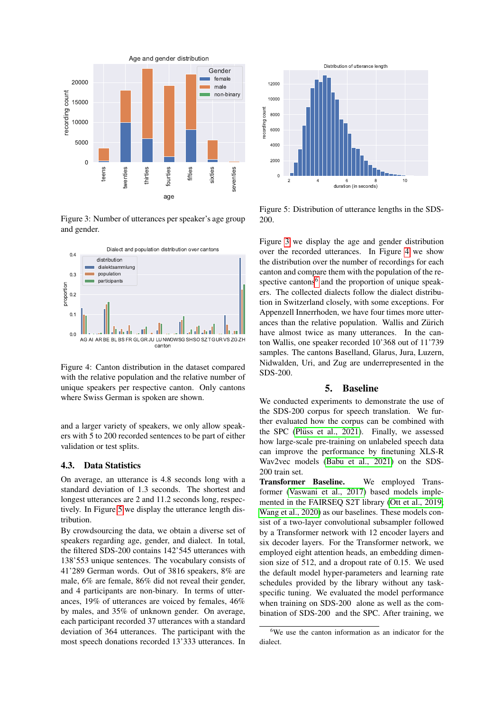

<span id="page-4-1"></span>Figure 3: Number of utterances per speaker's age group and gender.



<span id="page-4-2"></span>Figure 4: Canton distribution in the dataset compared with the relative population and the relative number of unique speakers per respective canton. Only cantons where Swiss German is spoken are shown.

and a larger variety of speakers, we only allow speakers with 5 to 200 recorded sentences to be part of either validation or test splits.

### 4.3. Data Statistics

On average, an utterance is 4.8 seconds long with a standard deviation of 1.3 seconds. The shortest and longest utterances are 2 and 11.2 seconds long, respectively. In Figure [5](#page-4-0) we display the utterance length distribution.

By crowdsourcing the data, we obtain a diverse set of speakers regarding age, gender, and dialect. In total, the filtered SDS-200 contains 142'545 utterances with 138'553 unique sentences. The vocabulary consists of 41'289 German words. Out of 3816 speakers, 8% are male, 6% are female, 86% did not reveal their gender, and 4 participants are non-binary. In terms of utterances, 19% of utterances are voiced by females, 46% by males, and 35% of unknown gender. On average, each participant recorded 37 utterances with a standard deviation of 364 utterances. The participant with the most speech donations recorded 13'333 utterances. In



<span id="page-4-0"></span>Figure 5: Distribution of utterance lengths in the SDS-200.

Figure [3](#page-4-1) we display the age and gender distribution over the recorded utterances. In Figure [4](#page-4-2) we show the distribution over the number of recordings for each canton and compare them with the population of the re-spective cantons<sup>[6](#page-4-3)</sup> and the proportion of unique speakers. The collected dialects follow the dialect distribution in Switzerland closely, with some exceptions. For Appenzell Innerrhoden, we have four times more utterances than the relative population. Wallis and Zürich have almost twice as many utterances. In the canton Wallis, one speaker recorded 10'368 out of 11'739 samples. The cantons Baselland, Glarus, Jura, Luzern, Nidwalden, Uri, and Zug are underrepresented in the SDS-200.

#### 5. Baseline

We conducted experiments to demonstrate the use of the SDS-200 corpus for speech translation. We further evaluated how the corpus can be combined with the SPC (Plüss et al.,  $2021$ ). Finally, we assessed how large-scale pre-training on unlabeled speech data can improve the performance by finetuning XLS-R Wav2vec models [\(Babu et al., 2021\)](#page-5-6) on the SDS-200 train set.

Transformer Baseline. We employed Transformer [\(Vaswani et al., 2017\)](#page-6-2) based models implemented in the FAIRSEQ S2T library [\(Ott et al., 2019;](#page-6-3) [Wang et al., 2020\)](#page-6-4) as our baselines. These models consist of a two-layer convolutional subsampler followed by a Transformer network with 12 encoder layers and six decoder layers. For the Transformer network, we employed eight attention heads, an embedding dimension size of 512, and a dropout rate of 0.15. We used the default model hyper-parameters and learning rate schedules provided by the library without any taskspecific tuning. We evaluated the model performance when training on SDS-200 alone as well as the combination of SDS-200 and the SPC. After training, we

<span id="page-4-3"></span><sup>6</sup>We use the canton information as an indicator for the dialect.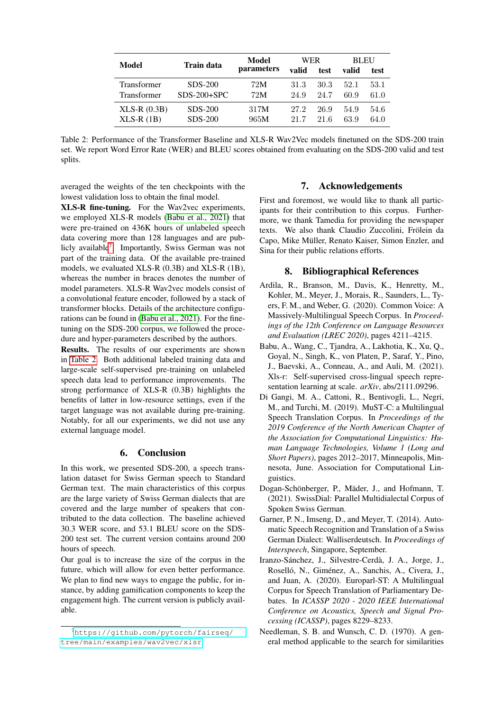|                    | Train data    | Model<br><i>parameters</i> | WER   |      | <b>BLEU</b> |      |
|--------------------|---------------|----------------------------|-------|------|-------------|------|
| Model              |               |                            | valid | test | valid       | test |
| <b>Transformer</b> | SDS-200       | 72M                        | 31.3  | 30.3 | 52.1        | 53.1 |
| <b>Transformer</b> | $SDS-200+SPC$ | 72M                        | 24.9  | 24.7 | 60.9        | 61.0 |
| $XLS-R (0.3B)$     | SDS-200       | 317M                       | 27.2  | 26.9 | 54.9        | 54.6 |
| $XLS-R(1B)$        | SDS-200       | 965M                       | 21.7  | 21 6 | 63.9        | 64.0 |

<span id="page-5-8"></span>Table 2: Performance of the Transformer Baseline and XLS-R Wav2Vec models finetuned on the SDS-200 train set. We report Word Error Rate (WER) and BLEU scores obtained from evaluating on the SDS-200 valid and test splits.

averaged the weights of the ten checkpoints with the lowest validation loss to obtain the final model.

XLS-R fine-tuning. For the Wav2vec experiments, we employed XLS-R models [\(Babu et al., 2021\)](#page-5-6) that were pre-trained on 436K hours of unlabeled speech data covering more than 128 languages and are pub-licly available<sup>[7](#page-5-7)</sup>. Importantly, Swiss German was not part of the training data. Of the available pre-trained models, we evaluated XLS-R (0.3B) and XLS-R (1B), whereas the number in braces denotes the number of model parameters. XLS-R Wav2vec models consist of a convolutional feature encoder, followed by a stack of transformer blocks. Details of the architecture configurations can be found in [\(Babu et al., 2021\)](#page-5-6). For the finetuning on the SDS-200 corpus, we followed the procedure and hyper-parameters described by the authors.

Results. The results of our experiments are shown in [Table 2.](#page-5-8) Both additional labeled training data and large-scale self-supervised pre-training on unlabeled speech data lead to performance improvements. The strong performance of XLS-R (0.3B) highlights the benefits of latter in low-resource settings, even if the target language was not available during pre-training. Notably, for all our experiments, we did not use any external language model.

### 6. Conclusion

In this work, we presented SDS-200, a speech translation dataset for Swiss German speech to Standard German text. The main characteristics of this corpus are the large variety of Swiss German dialects that are covered and the large number of speakers that contributed to the data collection. The baseline achieved 30.3 WER score, and 53.1 BLEU score on the SDS-200 test set. The current version contains around 200 hours of speech.

Our goal is to increase the size of the corpus in the future, which will allow for even better performance. We plan to find new ways to engage the public, for instance, by adding gamification components to keep the engagement high. The current version is publicly available.

### 7. Acknowledgements

First and foremost, we would like to thank all participants for their contribution to this corpus. Furthermore, we thank Tamedia for providing the newspaper texts. We also thank Claudio Zuccolini, Frölein da Capo, Mike Müller, Renato Kaiser, Simon Enzler, and Sina for their public relations efforts.

### 8. Bibliographical References

- <span id="page-5-5"></span>Ardila, R., Branson, M., Davis, K., Henretty, M., Kohler, M., Meyer, J., Morais, R., Saunders, L., Tyers, F. M., and Weber, G. (2020). Common Voice: A Massively-Multilingual Speech Corpus. In *Proceedings of the 12th Conference on Language Resources and Evaluation (LREC 2020)*, pages 4211–4215.
- <span id="page-5-6"></span>Babu, A., Wang, C., Tjandra, A., Lakhotia, K., Xu, Q., Goyal, N., Singh, K., von Platen, P., Saraf, Y., Pino, J., Baevski, A., Conneau, A., and Auli, M. (2021). Xls-r: Self-supervised cross-lingual speech representation learning at scale. *arXiv*, abs/2111.09296.
- <span id="page-5-0"></span>Di Gangi, M. A., Cattoni, R., Bentivogli, L., Negri, M., and Turchi, M. (2019). MuST-C: a Multilingual Speech Translation Corpus. In *Proceedings of the 2019 Conference of the North American Chapter of the Association for Computational Linguistics: Human Language Technologies, Volume 1 (Long and Short Papers)*, pages 2012–2017, Minneapolis, Minnesota, June. Association for Computational Linguistics.
- <span id="page-5-4"></span>Dogan-Schönberger, P., Mäder, J., and Hofmann, T. (2021). SwissDial: Parallel Multidialectal Corpus of Spoken Swiss German.
- <span id="page-5-3"></span>Garner, P. N., Imseng, D., and Meyer, T. (2014). Automatic Speech Recognition and Translation of a Swiss German Dialect: Walliserdeutsch. In *Proceedings of Interspeech*, Singapore, September.
- <span id="page-5-1"></span>Iranzo-Sánchez, J., Silvestre-Cerdà, J. A., Jorge, J., Roselló, N., Giménez, A., Sanchis, A., Civera, J., and Juan, A. (2020). Europarl-ST: A Multilingual Corpus for Speech Translation of Parliamentary Debates. In *ICASSP 2020 - 2020 IEEE International Conference on Acoustics, Speech and Signal Processing (ICASSP)*, pages 8229–8233.
- <span id="page-5-2"></span>Needleman, S. B. and Wunsch, C. D. (1970). A general method applicable to the search for similarities

<span id="page-5-7"></span><sup>7</sup>[https://github.com/pytorch/fairseq/](https://github.com/pytorch/fairseq/tree/main/examples/wav2vec/xlsr) [tree/main/examples/wav2vec/xlsr](https://github.com/pytorch/fairseq/tree/main/examples/wav2vec/xlsr)